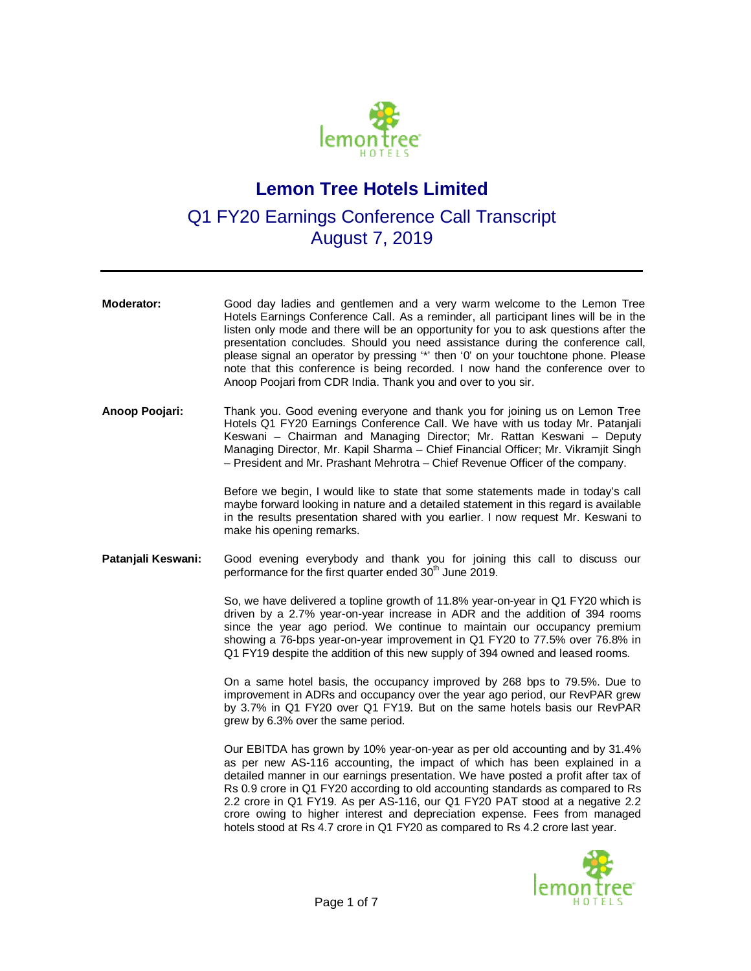

## **Lemon Tree Hotels Limited**

Q1 FY20 Earnings Conference Call Transcript August 7, 2019

| Moderator:         | Good day ladies and gentlemen and a very warm welcome to the Lemon Tree<br>Hotels Earnings Conference Call. As a reminder, all participant lines will be in the<br>listen only mode and there will be an opportunity for you to ask questions after the<br>presentation concludes. Should you need assistance during the conference call,<br>please signal an operator by pressing "*' then '0' on your touchtone phone. Please<br>note that this conference is being recorded. I now hand the conference over to<br>Anoop Poojari from CDR India. Thank you and over to you sir. |
|--------------------|-----------------------------------------------------------------------------------------------------------------------------------------------------------------------------------------------------------------------------------------------------------------------------------------------------------------------------------------------------------------------------------------------------------------------------------------------------------------------------------------------------------------------------------------------------------------------------------|
| Anoop Poojari:     | Thank you. Good evening everyone and thank you for joining us on Lemon Tree<br>Hotels Q1 FY20 Earnings Conference Call. We have with us today Mr. Patanjali<br>Keswani - Chairman and Managing Director; Mr. Rattan Keswani - Deputy<br>Managing Director, Mr. Kapil Sharma - Chief Financial Officer; Mr. Vikramjit Singh<br>- President and Mr. Prashant Mehrotra - Chief Revenue Officer of the company.                                                                                                                                                                       |
|                    | Before we begin, I would like to state that some statements made in today's call<br>maybe forward looking in nature and a detailed statement in this regard is available<br>in the results presentation shared with you earlier. I now request Mr. Keswani to<br>make his opening remarks.                                                                                                                                                                                                                                                                                        |
| Patanjali Keswani: | Good evening everybody and thank you for joining this call to discuss our<br>performance for the first quarter ended 30 <sup>th</sup> June 2019.                                                                                                                                                                                                                                                                                                                                                                                                                                  |
|                    | So, we have delivered a topline growth of 11.8% year-on-year in Q1 FY20 which is<br>driven by a 2.7% year-on-year increase in ADR and the addition of 394 rooms<br>since the year ago period. We continue to maintain our occupancy premium<br>showing a 76-bps year-on-year improvement in Q1 FY20 to 77.5% over 76.8% in<br>Q1 FY19 despite the addition of this new supply of 394 owned and leased rooms.                                                                                                                                                                      |
|                    | On a same hotel basis, the occupancy improved by 268 bps to 79.5%. Due to<br>improvement in ADRs and occupancy over the year ago period, our RevPAR grew<br>by 3.7% in Q1 FY20 over Q1 FY19. But on the same hotels basis our RevPAR<br>grew by 6.3% over the same period.                                                                                                                                                                                                                                                                                                        |
|                    | Our EBITDA has grown by 10% year-on-year as per old accounting and by 31.4%<br>as per new AS-116 accounting, the impact of which has been explained in a<br>detailed manner in our earnings presentation. We have posted a profit after tax of<br>Rs 0.9 crore in Q1 FY20 according to old accounting standards as compared to Rs<br>2.2 crore in Q1 FY19. As per AS-116, our Q1 FY20 PAT stood at a negative 2.2<br>crore owing to higher interest and depreciation expense. Fees from managed<br>hotels stood at Rs 4.7 crore in Q1 FY20 as compared to Rs 4.2 crore last year. |

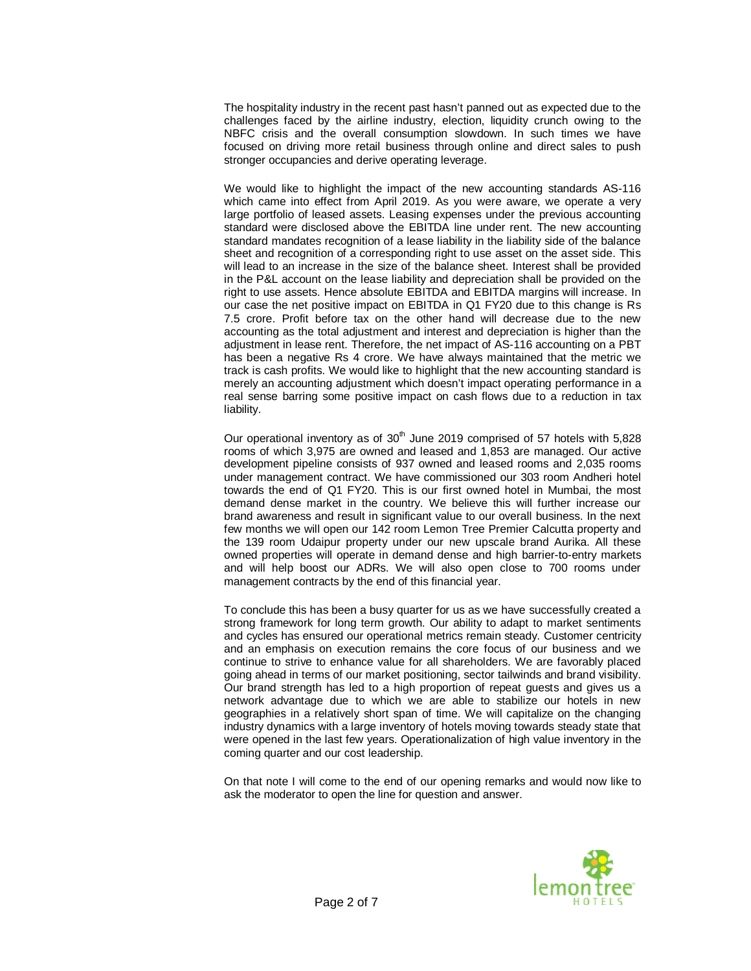The hospitality industry in the recent past hasn't panned out as expected due to the challenges faced by the airline industry, election, liquidity crunch owing to the NBFC crisis and the overall consumption slowdown. In such times we have focused on driving more retail business through online and direct sales to push stronger occupancies and derive operating leverage.

We would like to highlight the impact of the new accounting standards AS-116 which came into effect from April 2019. As you were aware, we operate a very large portfolio of leased assets. Leasing expenses under the previous accounting standard were disclosed above the EBITDA line under rent. The new accounting standard mandates recognition of a lease liability in the liability side of the balance sheet and recognition of a corresponding right to use asset on the asset side. This will lead to an increase in the size of the balance sheet. Interest shall be provided in the P&L account on the lease liability and depreciation shall be provided on the right to use assets. Hence absolute EBITDA and EBITDA margins will increase. In our case the net positive impact on EBITDA in Q1 FY20 due to this change is Rs 7.5 crore. Profit before tax on the other hand will decrease due to the new accounting as the total adjustment and interest and depreciation is higher than the adjustment in lease rent. Therefore, the net impact of AS-116 accounting on a PBT has been a negative Rs 4 crore. We have always maintained that the metric we track is cash profits. We would like to highlight that the new accounting standard is merely an accounting adjustment which doesn't impact operating performance in a real sense barring some positive impact on cash flows due to a reduction in tax liability.

Our operational inventory as of  $30<sup>th</sup>$  June 2019 comprised of 57 hotels with 5,828 rooms of which 3,975 are owned and leased and 1,853 are managed. Our active development pipeline consists of 937 owned and leased rooms and 2,035 rooms under management contract. We have commissioned our 303 room Andheri hotel towards the end of Q1 FY20. This is our first owned hotel in Mumbai, the most demand dense market in the country. We believe this will further increase our brand awareness and result in significant value to our overall business. In the next few months we will open our 142 room Lemon Tree Premier Calcutta property and the 139 room Udaipur property under our new upscale brand Aurika. All these owned properties will operate in demand dense and high barrier-to-entry markets and will help boost our ADRs. We will also open close to 700 rooms under management contracts by the end of this financial year.

To conclude this has been a busy quarter for us as we have successfully created a strong framework for long term growth. Our ability to adapt to market sentiments and cycles has ensured our operational metrics remain steady. Customer centricity and an emphasis on execution remains the core focus of our business and we continue to strive to enhance value for all shareholders. We are favorably placed going ahead in terms of our market positioning, sector tailwinds and brand visibility. Our brand strength has led to a high proportion of repeat guests and gives us a network advantage due to which we are able to stabilize our hotels in new geographies in a relatively short span of time. We will capitalize on the changing industry dynamics with a large inventory of hotels moving towards steady state that were opened in the last few years. Operationalization of high value inventory in the coming quarter and our cost leadership.

On that note I will come to the end of our opening remarks and would now like to ask the moderator to open the line for question and answer.

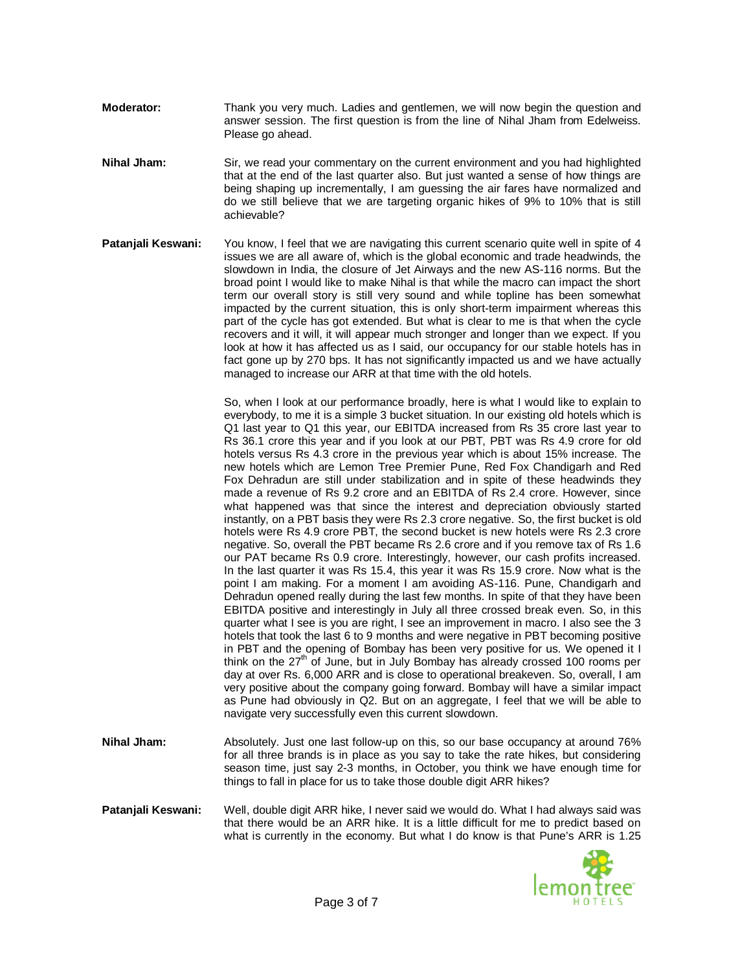- **Moderator:** Thank you very much. Ladies and gentlemen, we will now begin the question and answer session. The first question is from the line of Nihal Jham from Edelweiss. Please go ahead.
- **Nihal Jham:** Sir, we read your commentary on the current environment and you had highlighted that at the end of the last quarter also. But just wanted a sense of how things are being shaping up incrementally, I am guessing the air fares have normalized and do we still believe that we are targeting organic hikes of 9% to 10% that is still achievable?
- **Patanjali Keswani:** You know, I feel that we are navigating this current scenario quite well in spite of 4 issues we are all aware of, which is the global economic and trade headwinds, the slowdown in India, the closure of Jet Airways and the new AS-116 norms. But the broad point I would like to make Nihal is that while the macro can impact the short term our overall story is still very sound and while topline has been somewhat impacted by the current situation, this is only short-term impairment whereas this part of the cycle has got extended. But what is clear to me is that when the cycle recovers and it will, it will appear much stronger and longer than we expect. If you look at how it has affected us as I said, our occupancy for our stable hotels has in fact gone up by 270 bps. It has not significantly impacted us and we have actually managed to increase our ARR at that time with the old hotels.

So, when I look at our performance broadly, here is what I would like to explain to everybody, to me it is a simple 3 bucket situation. In our existing old hotels which is Q1 last year to Q1 this year, our EBITDA increased from Rs 35 crore last year to Rs 36.1 crore this year and if you look at our PBT, PBT was Rs 4.9 crore for old hotels versus Rs 4.3 crore in the previous year which is about 15% increase. The new hotels which are Lemon Tree Premier Pune, Red Fox Chandigarh and Red Fox Dehradun are still under stabilization and in spite of these headwinds they made a revenue of Rs 9.2 crore and an EBITDA of Rs 2.4 crore. However, since what happened was that since the interest and depreciation obviously started instantly, on a PBT basis they were Rs 2.3 crore negative. So, the first bucket is old hotels were Rs 4.9 crore PBT, the second bucket is new hotels were Rs 2.3 crore negative. So, overall the PBT became Rs 2.6 crore and if you remove tax of Rs 1.6 our PAT became Rs 0.9 crore. Interestingly, however, our cash profits increased. In the last quarter it was Rs 15.4, this year it was Rs 15.9 crore. Now what is the point I am making. For a moment I am avoiding AS-116. Pune, Chandigarh and Dehradun opened really during the last few months. In spite of that they have been EBITDA positive and interestingly in July all three crossed break even. So, in this quarter what I see is you are right, I see an improvement in macro. I also see the 3 hotels that took the last 6 to 9 months and were negative in PBT becoming positive in PBT and the opening of Bombay has been very positive for us. We opened it I think on the  $27<sup>th</sup>$  of June, but in July Bombay has already crossed 100 rooms per day at over Rs. 6,000 ARR and is close to operational breakeven. So, overall, I am very positive about the company going forward. Bombay will have a similar impact as Pune had obviously in Q2. But on an aggregate, I feel that we will be able to navigate very successfully even this current slowdown.

- **Nihal Jham:** Absolutely. Just one last follow-up on this, so our base occupancy at around 76% for all three brands is in place as you say to take the rate hikes, but considering season time, just say 2-3 months, in October, you think we have enough time for things to fall in place for us to take those double digit ARR hikes?
- **Patanjali Keswani:** Well, double digit ARR hike, I never said we would do. What I had always said was that there would be an ARR hike. It is a little difficult for me to predict based on what is currently in the economy. But what I do know is that Pune's ARR is 1.25

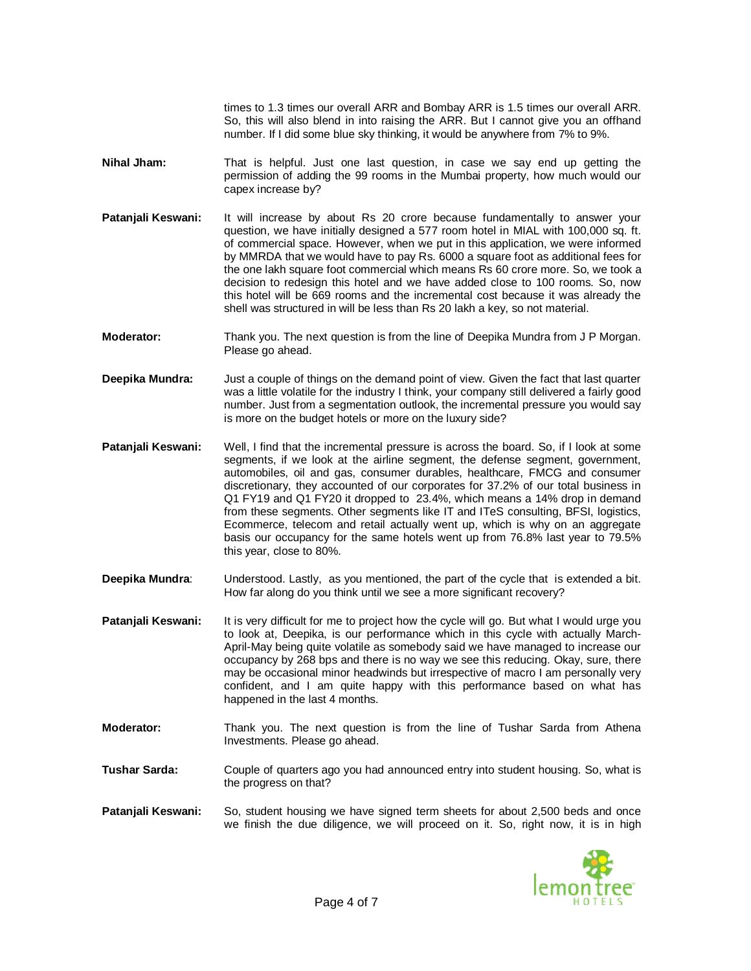times to 1.3 times our overall ARR and Bombay ARR is 1.5 times our overall ARR. So, this will also blend in into raising the ARR. But I cannot give you an offhand number. If I did some blue sky thinking, it would be anywhere from 7% to 9%.

- **Nihal Jham:** That is helpful. Just one last question, in case we say end up getting the permission of adding the 99 rooms in the Mumbai property, how much would our capex increase by?
- **Patanjali Keswani:** It will increase by about Rs 20 crore because fundamentally to answer your question, we have initially designed a 577 room hotel in MIAL with 100,000 sq. ft. of commercial space. However, when we put in this application, we were informed by MMRDA that we would have to pay Rs. 6000 a square foot as additional fees for the one lakh square foot commercial which means Rs 60 crore more. So, we took a decision to redesign this hotel and we have added close to 100 rooms. So, now this hotel will be 669 rooms and the incremental cost because it was already the shell was structured in will be less than Rs 20 lakh a key, so not material.
- **Moderator:** Thank you. The next question is from the line of Deepika Mundra from J P Morgan. Please go ahead.
- **Deepika Mundra:** Just a couple of things on the demand point of view. Given the fact that last quarter was a little volatile for the industry I think, your company still delivered a fairly good number. Just from a segmentation outlook, the incremental pressure you would say is more on the budget hotels or more on the luxury side?
- **Patanjali Keswani:** Well, I find that the incremental pressure is across the board. So, if I look at some segments, if we look at the airline segment, the defense segment, government, automobiles, oil and gas, consumer durables, healthcare, FMCG and consumer discretionary, they accounted of our corporates for 37.2% of our total business in Q1 FY19 and Q1 FY20 it dropped to 23.4%, which means a 14% drop in demand from these segments. Other segments like IT and ITeS consulting, BFSI, logistics, Ecommerce, telecom and retail actually went up, which is why on an aggregate basis our occupancy for the same hotels went up from 76.8% last year to 79.5% this year, close to 80%.
- **Deepika Mundra**: Understood. Lastly, as you mentioned, the part of the cycle that is extended a bit. How far along do you think until we see a more significant recovery?

**Patanjali Keswani:** It is very difficult for me to project how the cycle will go. But what I would urge you to look at, Deepika, is our performance which in this cycle with actually March-April-May being quite volatile as somebody said we have managed to increase our occupancy by 268 bps and there is no way we see this reducing. Okay, sure, there may be occasional minor headwinds but irrespective of macro I am personally very confident, and I am quite happy with this performance based on what has happened in the last 4 months.

- **Moderator:** Thank you. The next question is from the line of Tushar Sarda from Athena Investments. Please go ahead.
- **Tushar Sarda:** Couple of quarters ago you had announced entry into student housing. So, what is the progress on that?
- **Patanjali Keswani:** So, student housing we have signed term sheets for about 2,500 beds and once we finish the due diligence, we will proceed on it. So, right now, it is in high

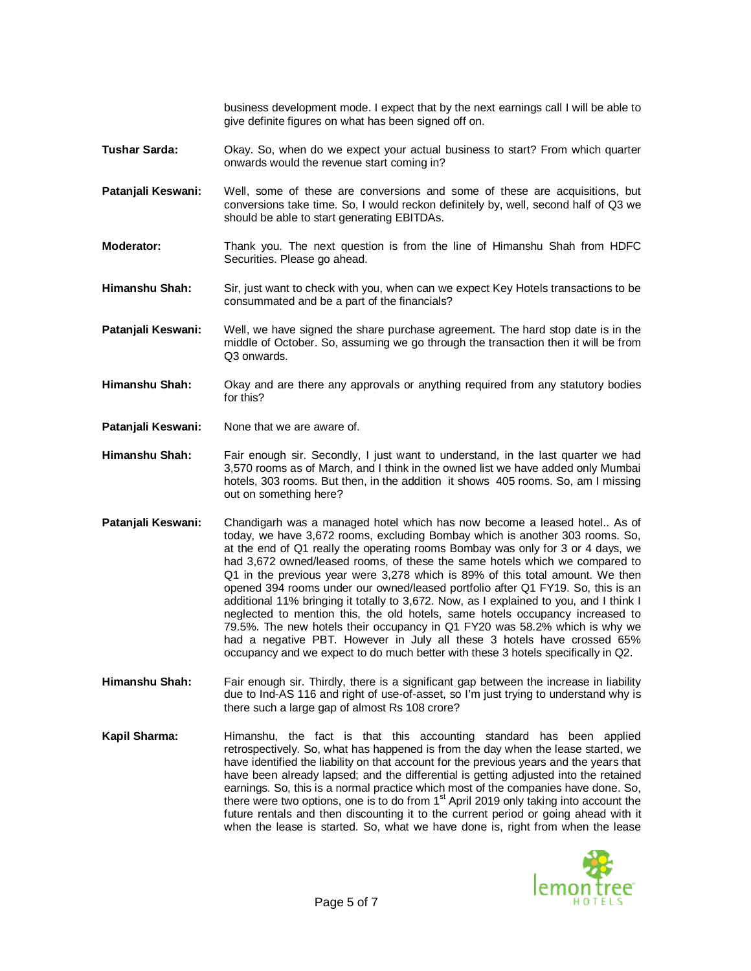business development mode. I expect that by the next earnings call I will be able to give definite figures on what has been signed off on.

- **Tushar Sarda:** Okay. So, when do we expect your actual business to start? From which quarter onwards would the revenue start coming in?
- **Patanjali Keswani:** Well, some of these are conversions and some of these are acquisitions, but conversions take time. So, I would reckon definitely by, well, second half of Q3 we should be able to start generating EBITDAs.
- **Moderator:** Thank you. The next question is from the line of Himanshu Shah from HDFC Securities. Please go ahead.
- **Himanshu Shah:** Sir, just want to check with you, when can we expect Key Hotels transactions to be consummated and be a part of the financials?
- **Patanjali Keswani:** Well, we have signed the share purchase agreement. The hard stop date is in the middle of October. So, assuming we go through the transaction then it will be from Q3 onwards.
- **Himanshu Shah:** Okay and are there any approvals or anything required from any statutory bodies for this?
- **Patanjali Keswani:** None that we are aware of.
- **Himanshu Shah:** Fair enough sir. Secondly, I just want to understand, in the last quarter we had 3,570 rooms as of March, and I think in the owned list we have added only Mumbai hotels, 303 rooms. But then, in the addition it shows 405 rooms. So, am I missing out on something here?
- **Patanjali Keswani:** Chandigarh was a managed hotel which has now become a leased hotel.. As of today, we have 3,672 rooms, excluding Bombay which is another 303 rooms. So, at the end of Q1 really the operating rooms Bombay was only for 3 or 4 days, we had 3,672 owned/leased rooms, of these the same hotels which we compared to Q1 in the previous year were 3,278 which is 89% of this total amount. We then opened 394 rooms under our owned/leased portfolio after Q1 FY19. So, this is an additional 11% bringing it totally to 3,672. Now, as I explained to you, and I think I neglected to mention this, the old hotels, same hotels occupancy increased to 79.5%. The new hotels their occupancy in Q1 FY20 was 58.2% which is why we had a negative PBT. However in July all these 3 hotels have crossed 65% occupancy and we expect to do much better with these 3 hotels specifically in Q2.
- **Himanshu Shah:** Fair enough sir. Thirdly, there is a significant gap between the increase in liability due to Ind-AS 116 and right of use-of-asset, so I'm just trying to understand why is there such a large gap of almost Rs 108 crore?
- **Kapil Sharma:** Himanshu, the fact is that this accounting standard has been applied retrospectively. So, what has happened is from the day when the lease started, we have identified the liability on that account for the previous years and the years that have been already lapsed; and the differential is getting adjusted into the retained earnings. So, this is a normal practice which most of the companies have done. So, there were two options, one is to do from  $1<sup>st</sup>$  April 2019 only taking into account the future rentals and then discounting it to the current period or going ahead with it when the lease is started. So, what we have done is, right from when the lease

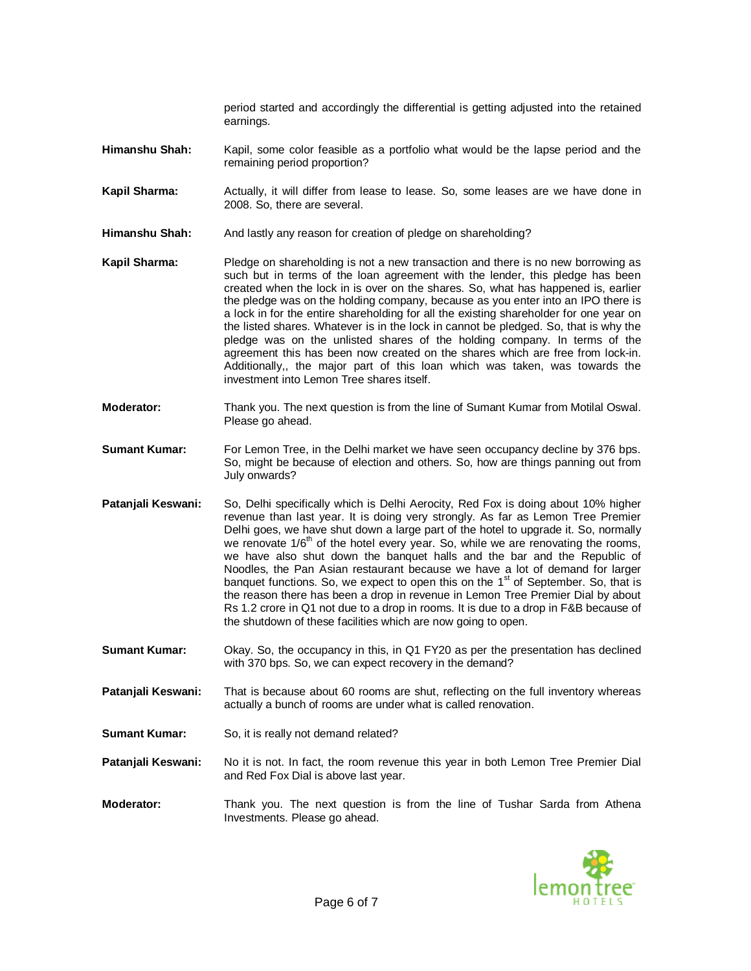period started and accordingly the differential is getting adjusted into the retained earnings.

- **Himanshu Shah:** Kapil, some color feasible as a portfolio what would be the lapse period and the remaining period proportion?
- **Kapil Sharma:** Actually, it will differ from lease to lease. So, some leases are we have done in 2008. So, there are several.
- **Himanshu Shah:** And lastly any reason for creation of pledge on shareholding?
- **Kapil Sharma:** Pledge on shareholding is not a new transaction and there is no new borrowing as such but in terms of the loan agreement with the lender, this pledge has been created when the lock in is over on the shares. So, what has happened is, earlier the pledge was on the holding company, because as you enter into an IPO there is a lock in for the entire shareholding for all the existing shareholder for one year on the listed shares. Whatever is in the lock in cannot be pledged. So, that is why the pledge was on the unlisted shares of the holding company. In terms of the agreement this has been now created on the shares which are free from lock-in. Additionally,, the major part of this loan which was taken, was towards the investment into Lemon Tree shares itself.
- **Moderator:** Thank you. The next question is from the line of Sumant Kumar from Motilal Oswal. Please go ahead.
- **Sumant Kumar:** For Lemon Tree, in the Delhi market we have seen occupancy decline by 376 bps. So, might be because of election and others. So, how are things panning out from July onwards?
- **Patanjali Keswani:** So, Delhi specifically which is Delhi Aerocity, Red Fox is doing about 10% higher revenue than last year. It is doing very strongly. As far as Lemon Tree Premier Delhi goes, we have shut down a large part of the hotel to upgrade it. So, normally we renovate  $1/6<sup>th</sup>$  of the hotel every year. So, while we are renovating the rooms, we have also shut down the banquet halls and the bar and the Republic of Noodles, the Pan Asian restaurant because we have a lot of demand for larger banquet functions. So, we expect to open this on the 1st of September. So, that is the reason there has been a drop in revenue in Lemon Tree Premier Dial by about Rs 1.2 crore in Q1 not due to a drop in rooms. It is due to a drop in F&B because of the shutdown of these facilities which are now going to open.
- **Sumant Kumar:** Okay. So, the occupancy in this, in Q1 FY20 as per the presentation has declined with 370 bps. So, we can expect recovery in the demand?
- **Patanjali Keswani:** That is because about 60 rooms are shut, reflecting on the full inventory whereas actually a bunch of rooms are under what is called renovation.
- **Sumant Kumar:** So, it is really not demand related?
- **Patanjali Keswani:** No it is not. In fact, the room revenue this year in both Lemon Tree Premier Dial and Red Fox Dial is above last year.
- **Moderator:** Thank you. The next question is from the line of Tushar Sarda from Athena Investments. Please go ahead.